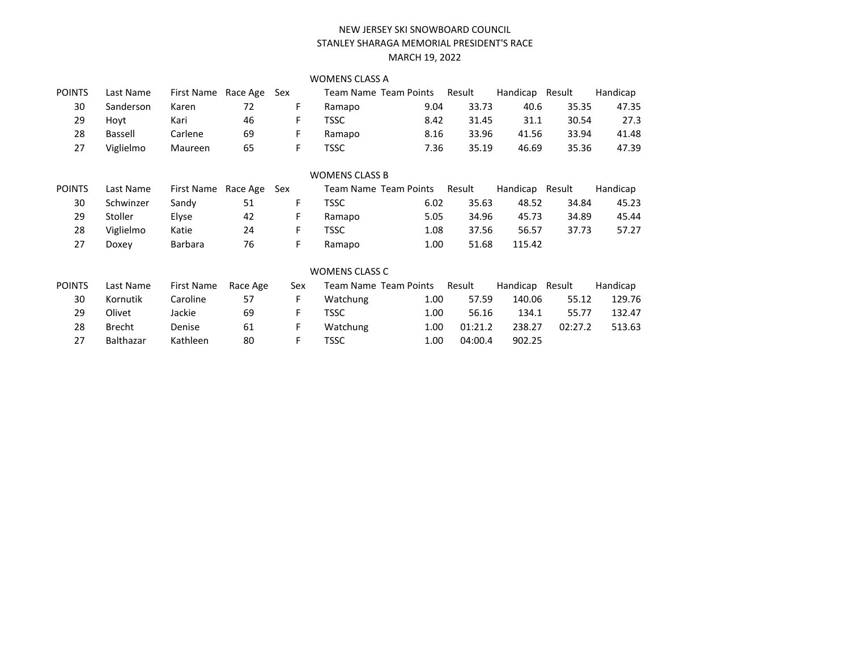# NEW JERSEY SKI SNOWBOARD COUNCIL STANLEY SHARAGA MEMORIAL PRESIDENT'S RACEMARCH 19, 2022

### WOMENS CLASS A

| <b>POINTS</b> | Last Name | First Name Race Age |    | Sex |        | <b>Team Name Team Points</b> | Result | Handicap | Result | Handicap |
|---------------|-----------|---------------------|----|-----|--------|------------------------------|--------|----------|--------|----------|
| 30            | Sanderson | Karen               | 72 |     | Ramapo | 9.04                         | 33.73  | 40.6     | 35.35  | 47.35    |
| 29            | Hovt      | Kari                | 46 |     | TSSC   | 8.42                         | 31.45  | 31.1     | 30.54  | 27.3     |
| 28            | Bassell   | Carlene             | 69 |     | Ramapo | 8.16                         | 33.96  | 41.56    | 33.94  | 41.48    |
| 27            | Viglielmo | Maureen             | 65 |     | TSSC   | 7.36                         | 35.19  | 46.69    | 35.36  | 47.39    |

### WOMENS CLASS B

| <b>POINTS</b> | Last Name      | First Name Race Age |    | Sex |        | Team Name Team Points | Result | Handicap Result |       | Handicap |
|---------------|----------------|---------------------|----|-----|--------|-----------------------|--------|-----------------|-------|----------|
| 30            | Schwinzer      | Sandy               | 51 |     | TSSC   | 6.02                  | 35.63  | 48.52           | 34.84 | 45.23    |
| 29            | <b>Stoller</b> | Elyse               | 42 |     | Ramapo | 5.05                  | 34.96  | 45.73           | 34.89 | 45.44    |
| 28            | Viglielmo      | Katie               | 24 |     | TSSC   | 1.08                  | 37.56  | 56.57           | 37.73 | 57.27    |
| 27            | Doxey          | Barbara             | 76 |     | Ramapo | 1.00                  | 51.68  | 115.42          |       |          |

#### WOMENS CLASS C

| <b>POINTS</b> | Last Name     | First Name | Race Age | Sex |          | Team Name Team Points | Result  | Handicap | Result  | Handicap |
|---------------|---------------|------------|----------|-----|----------|-----------------------|---------|----------|---------|----------|
| 30            | Kornutik      | Caroline   | 57       |     | Watchung | 1.00                  | 57.59   | 140.06   | 55.12   | 129.76   |
| 29            | Olivet        | Jackie     | 69       |     | TSSC     | 1.00                  | 56.16   | 134.1    | 55.77   | 132.47   |
| 28            | <b>Brecht</b> | Denise     | 61       |     | Watchung | 1.00                  | 01:21.2 | 238.27   | 02:27.2 | 513.63   |
| 27            | Balthazar     | Kathleen   | 80       |     | TSSC     | 1.00                  | 04:00.4 | 902.25   |         |          |